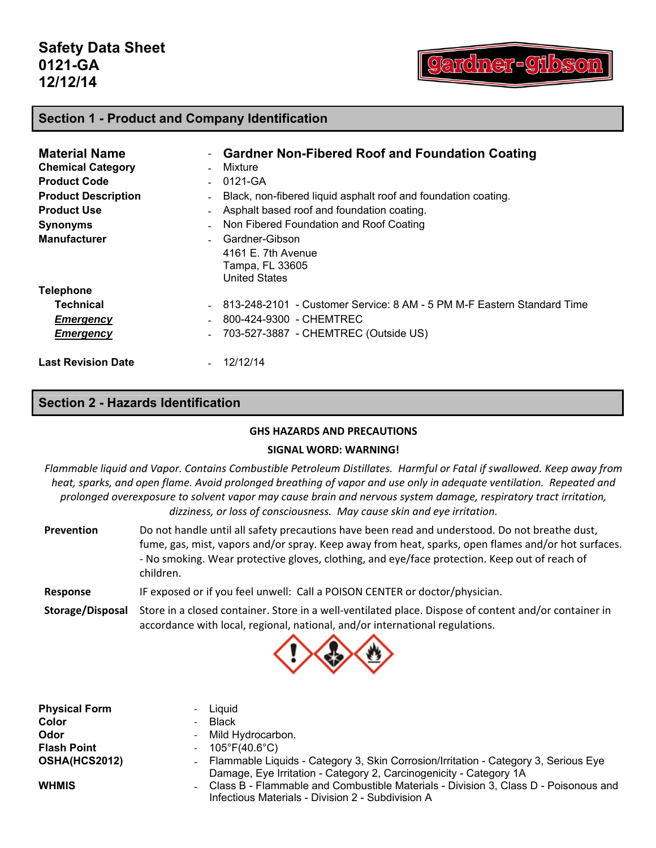ardner-91b

### **Section 1 - Product and Company Identification**

| <b>Material Name</b>       | - Gardner Non-Fibered Roof and Foundation Coating                      |
|----------------------------|------------------------------------------------------------------------|
| <b>Chemical Category</b>   | Mixture                                                                |
| <b>Product Code</b>        | 0121-GA                                                                |
| <b>Product Description</b> | Black, non-fibered liquid asphalt roof and foundation coating.         |
| <b>Product Use</b>         | Asphalt based roof and foundation coating.                             |
| <b>Synonyms</b>            | Non Fibered Foundation and Roof Coating                                |
| <b>Manufacturer</b>        | Gardner-Gibson                                                         |
|                            | 4161 E. 7th Avenue                                                     |
|                            | Tampa, FL 33605                                                        |
|                            | <b>United States</b>                                                   |
| <b>Telephone</b>           |                                                                        |
| Technical                  | 813-248-2101 - Customer Service: 8 AM - 5 PM M-F Eastern Standard Time |
| <b>Emergency</b>           | 800-424-9300 - CHEMTREC                                                |
| <b>Emergency</b>           | 703-527-3887 - CHEMTREC (Outside US)                                   |
| <b>Last Revision Date</b>  | $-12/12/14$                                                            |

### **Section 2 - Hazards Identification**

#### **GHS HAZARDS AND PRECAUTIONS**

#### **SIGNAL WORD: WARNING!**

Flammable liquid and Vapor. Contains Combustible Petroleum Distillates. Harmful or Fatal if swallowed. Keep away from heat, sparks, and open flame. Avoid prolonged breathing of vapor and use only in adequate ventilation. Repeated and *prolonged overexposure to solvent vapor may cause brain and nervous system damage, respiratory tract irritation, dizziness, or loss of consciousness. May cause skin and eye irritation.* 

**Prevention** Do not handle until all safety precautions have been read and understood. Do not breathe dust, fume, gas, mist, vapors and/or spray. Keep away from heat, sparks, open flames and/or hot surfaces. ‐ No smoking. Wear protective gloves, clothing, and eye/face protection. Keep out of reach of children.

**Response** IF exposed or if you feel unwell: Call a POISON CENTER or doctor/physician.

**Storage/Disposal** Store in a closed container. Store in a well‐ventilated place. Dispose of content and/or container in accordance with local, regional, national, and/or international regulations.



| <b>Physical Form</b> | - Liquid                                                                                                                                                    |
|----------------------|-------------------------------------------------------------------------------------------------------------------------------------------------------------|
| Color                | - Black                                                                                                                                                     |
| Odor                 | - Mild Hydrocarbon.                                                                                                                                         |
| <b>Flash Point</b>   | $-105^{\circ}F(40.6^{\circ}C)$                                                                                                                              |
| <b>OSHA(HCS2012)</b> | - Flammable Liquids - Category 3, Skin Corrosion/Irritation - Category 3, Serious Eye<br>Damage, Eye Irritation - Category 2, Carcinogenicity - Category 1A |
| <b>WHMIS</b>         | - Class B - Flammable and Combustible Materials - Division 3, Class D - Poisonous and<br>Infectious Materials - Division 2 - Subdivision A                  |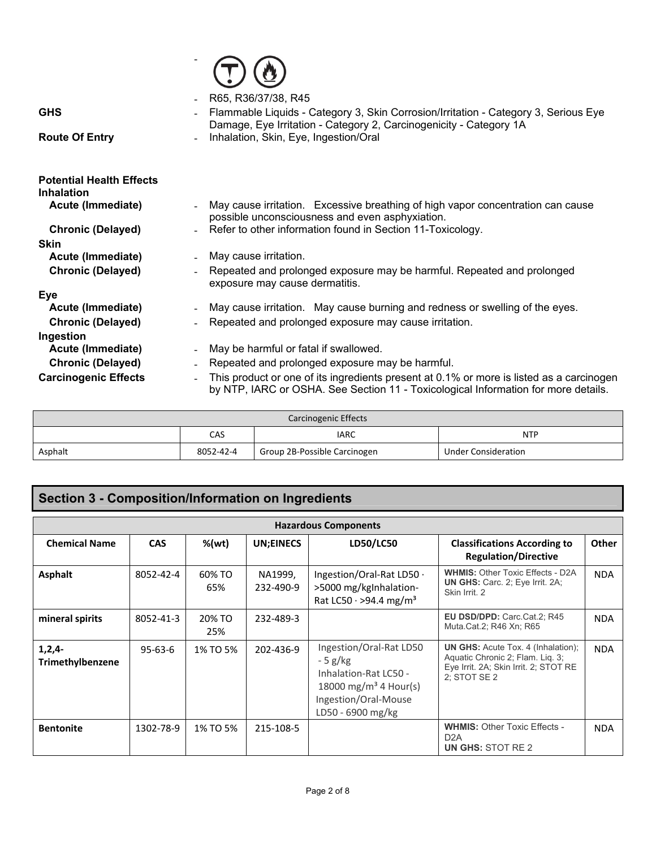|                                 | R65, R36/37/38, R45                                                                      |
|---------------------------------|------------------------------------------------------------------------------------------|
| <b>GHS</b>                      | Flammable Liquids - Category 3, Skin Corrosion/Irritation - Category 3, Serious Eye      |
|                                 | Damage, Eye Irritation - Category 2, Carcinogenicity - Category 1A                       |
| <b>Route Of Entry</b>           | Inhalation, Skin, Eye, Ingestion/Oral                                                    |
|                                 |                                                                                          |
| <b>Potential Health Effects</b> |                                                                                          |
| <b>Inhalation</b>               |                                                                                          |
| Acute (Immediate)               | May cause irritation. Excessive breathing of high vapor concentration can cause          |
|                                 | possible unconsciousness and even asphyxiation.                                          |
| <b>Chronic (Delayed)</b>        | Refer to other information found in Section 11-Toxicology.                               |
| <b>Skin</b>                     |                                                                                          |
| Acute (Immediate)               | May cause irritation.                                                                    |
| <b>Chronic (Delayed)</b>        | Repeated and prolonged exposure may be harmful. Repeated and prolonged                   |
|                                 | exposure may cause dermatitis.                                                           |
| Eye                             |                                                                                          |
| Acute (Immediate)               | May cause irritation. May cause burning and redness or swelling of the eyes.             |
| <b>Chronic (Delayed)</b>        | Repeated and prolonged exposure may cause irritation.                                    |
| Ingestion                       |                                                                                          |
| Acute (Immediate)               | May be harmful or fatal if swallowed.<br>$\overline{\phantom{a}}$                        |
| <b>Chronic (Delayed)</b>        | Repeated and prolonged exposure may be harmful.                                          |
| <b>Carcinogenic Effects</b>     | This product or one of its ingredients present at 0.1% or more is listed as a carcinogen |
|                                 | by NTP, IARC or OSHA. See Section 11 - Toxicological Information for more details.       |

 $\overline{\phantom{a}}$ 

|         |           | Carcinogenic Effects         |                            |
|---------|-----------|------------------------------|----------------------------|
|         | CAS       | <b>IARC</b>                  | <b>NTP</b>                 |
| Asphalt | 8052-42-4 | Group 2B-Possible Carcinogen | <b>Under Consideration</b> |

## **Section 3 - Composition/Information on Ingredients**

| <b>Hazardous Components</b>         |               |               |                      |                                                                                                                                                 |                                                                                                                                        |            |
|-------------------------------------|---------------|---------------|----------------------|-------------------------------------------------------------------------------------------------------------------------------------------------|----------------------------------------------------------------------------------------------------------------------------------------|------------|
| <b>Chemical Name</b>                | <b>CAS</b>    | %(wt)         | UN;EINECS            | LD50/LC50                                                                                                                                       | <b>Classifications According to</b><br><b>Regulation/Directive</b>                                                                     | Other      |
| <b>Asphalt</b>                      | 8052-42-4     | 60% TO<br>65% | NA1999,<br>232-490-9 | Ingestion/Oral-Rat LD50 ·<br>>5000 mg/kgInhalation-<br>Rat LC50 · >94.4 mg/m <sup>3</sup>                                                       | <b>WHMIS: Other Toxic Effects - D2A</b><br><b>UN GHS:</b> Carc. 2; Eye Irrit. 2A;<br>Skin Irrit. 2                                     | <b>NDA</b> |
| mineral spirits                     | 8052-41-3     | 20% TO<br>25% | 232-489-3            |                                                                                                                                                 | <b>EU DSD/DPD: Carc.Cat.2: R45</b><br>Muta Cat.2; R46 Xn; R65                                                                          | <b>NDA</b> |
| $1,2,4-$<br><b>Trimethylbenzene</b> | $95 - 63 - 6$ | 1% TO 5%      | 202-436-9            | Ingestion/Oral-Rat LD50<br>$-5$ g/kg<br>Inhalation-Rat LC50 -<br>18000 mg/m <sup>3</sup> 4 Hour(s)<br>Ingestion/Oral-Mouse<br>LD50 - 6900 mg/kg | <b>UN GHS:</b> Acute Tox. 4 (Inhalation);<br>Aquatic Chronic 2; Flam. Liq. 3;<br>Eye Irrit. 2A; Skin Irrit. 2; STOT RE<br>2: STOT SE 2 | <b>NDA</b> |
| <b>Bentonite</b>                    | 1302-78-9     | 1% TO 5%      | 215-108-5            |                                                                                                                                                 | <b>WHMIS: Other Toxic Effects -</b><br>D <sub>2</sub> A<br>UN GHS: STOT RE 2                                                           | <b>NDA</b> |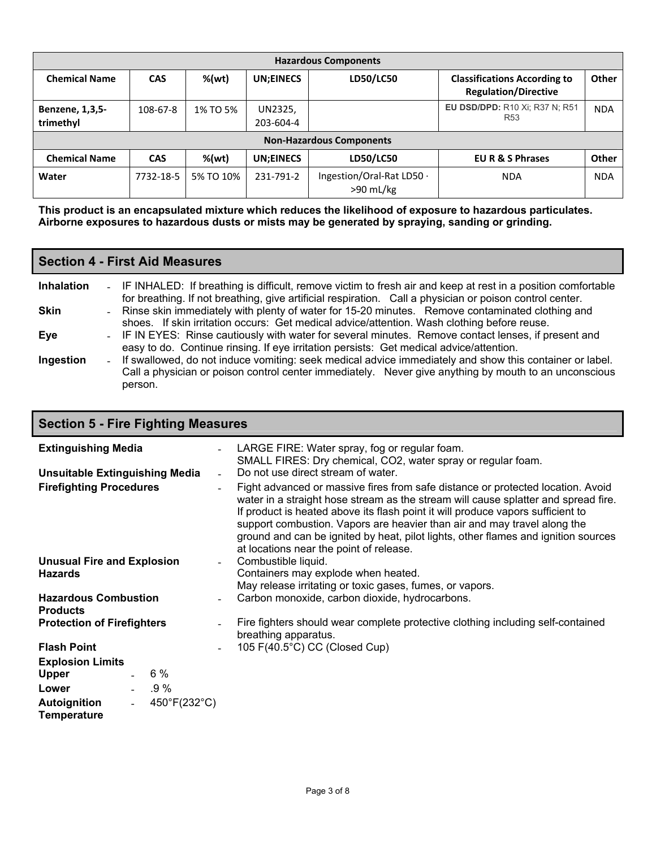| <b>Hazardous Components</b>         |            |           |                      |                                          |                                                                    |              |
|-------------------------------------|------------|-----------|----------------------|------------------------------------------|--------------------------------------------------------------------|--------------|
| <b>Chemical Name</b>                | <b>CAS</b> | %(wt)     | <b>UN:EINECS</b>     | LD50/LC50                                | <b>Classifications According to</b><br><b>Regulation/Directive</b> | Other        |
| <b>Benzene, 1,3,5-</b><br>trimethyl | 108-67-8   | 1% TO 5%  | UN2325,<br>203-604-4 |                                          | <b>EU DSD/DPD: R10 Xi; R37 N; R51</b><br>R <sub>53</sub>           | <b>NDA</b>   |
|                                     |            |           |                      | <b>Non-Hazardous Components</b>          |                                                                    |              |
| <b>Chemical Name</b>                | <b>CAS</b> | %(wt)     | <b>UN:EINECS</b>     | LD50/LC50                                | <b>EU R &amp; S Phrases</b>                                        | <b>Other</b> |
| Water                               | 7732-18-5  | 5% TO 10% | 231-791-2            | Ingestion/Oral-Rat LD50 ·<br>$>90$ mL/kg | <b>NDA</b>                                                         | <b>NDA</b>   |

**This product is an encapsulated mixture which reduces the likelihood of exposure to hazardous particulates. Airborne exposures to hazardous dusts or mists may be generated by spraying, sanding or grinding.**

### **Section 4 - First Aid Measures**

Т

| <b>Inhalation</b> | - IF INHALED: If breathing is difficult, remove victim to fresh air and keep at rest in a position comfortable<br>for breathing. If not breathing, give artificial respiration. Call a physician or poison control center.    |
|-------------------|-------------------------------------------------------------------------------------------------------------------------------------------------------------------------------------------------------------------------------|
| <b>Skin</b>       | - Rinse skin immediately with plenty of water for 15-20 minutes. Remove contaminated clothing and<br>shoes. If skin irritation occurs: Get medical advice/attention. Wash clothing before reuse.                              |
| Eye               | - IF IN EYES: Rinse cautiously with water for several minutes. Remove contact lenses, if present and<br>easy to do. Continue rinsing. If eye irritation persists: Get medical advice/attention.                               |
| Ingestion         | - If swallowed, do not induce vomiting: seek medical advice immediately and show this container or label.<br>Call a physician or poison control center immediately. Never give anything by mouth to an unconscious<br>person. |

| <b>Section 5 - Fire Fighting Measures</b>                                       |                                                                                                                                                                                                                                                                                                                                                                                                                                                                       |
|---------------------------------------------------------------------------------|-----------------------------------------------------------------------------------------------------------------------------------------------------------------------------------------------------------------------------------------------------------------------------------------------------------------------------------------------------------------------------------------------------------------------------------------------------------------------|
| <b>Extinguishing Media</b>                                                      | LARGE FIRE: Water spray, fog or regular foam.<br>SMALL FIRES: Dry chemical, CO2, water spray or regular foam.                                                                                                                                                                                                                                                                                                                                                         |
| <b>Unsuitable Extinguishing Media</b>                                           | Do not use direct stream of water.                                                                                                                                                                                                                                                                                                                                                                                                                                    |
| <b>Firefighting Procedures</b>                                                  | Fight advanced or massive fires from safe distance or protected location. Avoid<br>water in a straight hose stream as the stream will cause splatter and spread fire.<br>If product is heated above its flash point it will produce vapors sufficient to<br>support combustion. Vapors are heavier than air and may travel along the<br>ground and can be ignited by heat, pilot lights, other flames and ignition sources<br>at locations near the point of release. |
| <b>Unusual Fire and Explosion</b><br><b>Hazards</b>                             | Combustible liquid.<br>Containers may explode when heated.<br>May release irritating or toxic gases, fumes, or vapors.                                                                                                                                                                                                                                                                                                                                                |
| <b>Hazardous Combustion</b><br><b>Products</b>                                  | Carbon monoxide, carbon dioxide, hydrocarbons.                                                                                                                                                                                                                                                                                                                                                                                                                        |
| <b>Protection of Firefighters</b>                                               | Fire fighters should wear complete protective clothing including self-contained<br>breathing apparatus.                                                                                                                                                                                                                                                                                                                                                               |
| <b>Flash Point</b>                                                              | 105 F(40.5°C) CC (Closed Cup)                                                                                                                                                                                                                                                                                                                                                                                                                                         |
| <b>Explosion Limits</b>                                                         |                                                                                                                                                                                                                                                                                                                                                                                                                                                                       |
| 6 %<br><b>Upper</b>                                                             |                                                                                                                                                                                                                                                                                                                                                                                                                                                                       |
| $-0.9 \%$<br>Lower                                                              |                                                                                                                                                                                                                                                                                                                                                                                                                                                                       |
| 450°F(232°C)<br><b>Autoignition</b><br>$\Delta \sim 10^4$<br><b>Temperature</b> |                                                                                                                                                                                                                                                                                                                                                                                                                                                                       |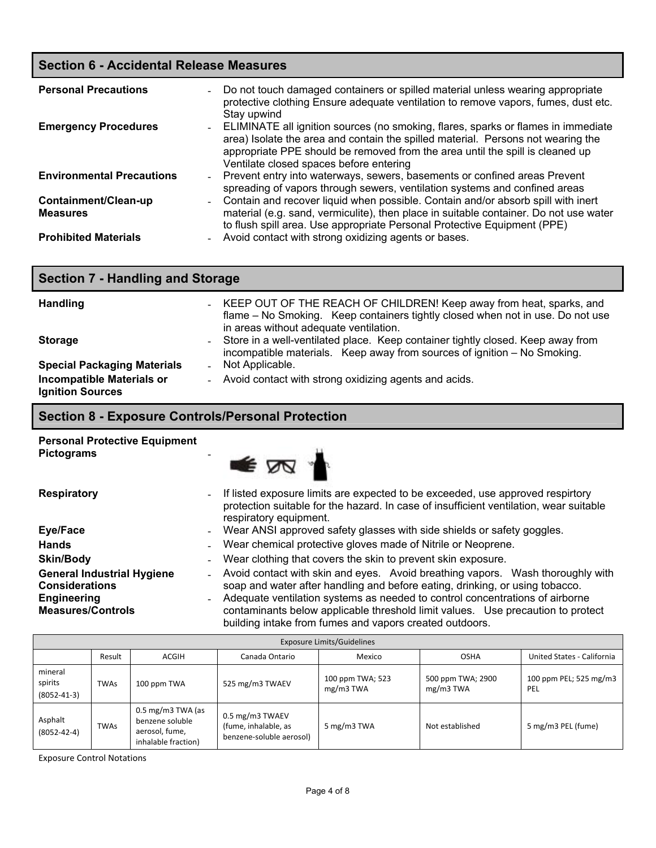### **Section 6 - Accidental Release Measures**

| <b>Personal Precautions</b><br>$\sim$             | Do not touch damaged containers or spilled material unless wearing appropriate<br>protective clothing Ensure adequate ventilation to remove vapors, fumes, dust etc.<br>Stay upwind                                                                                                                 |
|---------------------------------------------------|-----------------------------------------------------------------------------------------------------------------------------------------------------------------------------------------------------------------------------------------------------------------------------------------------------|
| <b>Emergency Procedures</b>                       | - ELIMINATE all ignition sources (no smoking, flares, sparks or flames in immediate<br>area) Isolate the area and contain the spilled material. Persons not wearing the<br>appropriate PPE should be removed from the area until the spill is cleaned up<br>Ventilate closed spaces before entering |
| <b>Environmental Precautions</b>                  | - Prevent entry into waterways, sewers, basements or confined areas Prevent<br>spreading of vapors through sewers, ventilation systems and confined areas                                                                                                                                           |
| Containment/Clean-up<br>$\sim$<br><b>Measures</b> | Contain and recover liquid when possible. Contain and/or absorb spill with inert<br>material (e.g. sand, vermiculite), then place in suitable container. Do not use water<br>to flush spill area. Use appropriate Personal Protective Equipment (PPE)                                               |
| <b>Prohibited Materials</b>                       | Avoid contact with strong oxidizing agents or bases.                                                                                                                                                                                                                                                |

| <b>Section 7 - Handling and Storage</b>                     |                                                                                                                                                                                                   |
|-------------------------------------------------------------|---------------------------------------------------------------------------------------------------------------------------------------------------------------------------------------------------|
| <b>Handling</b>                                             | - KEEP OUT OF THE REACH OF CHILDREN! Keep away from heat, sparks, and<br>flame – No Smoking. Keep containers tightly closed when not in use. Do not use<br>in areas without adequate ventilation. |
| <b>Storage</b>                                              | - Store in a well-ventilated place. Keep container tightly closed. Keep away from<br>incompatible materials. Keep away from sources of ignition - No Smoking.                                     |
| <b>Special Packaging Materials</b>                          | - Not Applicable.                                                                                                                                                                                 |
| <b>Incompatible Materials or</b><br><b>Ignition Sources</b> | - Avoid contact with strong oxidizing agents and acids.                                                                                                                                           |

## **Section 8 - Exposure Controls/Personal Protection**

| <b>Personal Protective Equipment</b> |  |
|--------------------------------------|--|
| <b>Pictograms</b>                    |  |



| <b>Respiratory</b>                                                                                    | If listed exposure limits are expected to be exceeded, use approved respirtory<br>$\sim$<br>protection suitable for the hazard. In case of insufficient ventilation, wear suitable<br>respiratory equipment.                                                                                                                                                                                                               |
|-------------------------------------------------------------------------------------------------------|----------------------------------------------------------------------------------------------------------------------------------------------------------------------------------------------------------------------------------------------------------------------------------------------------------------------------------------------------------------------------------------------------------------------------|
| Eye/Face                                                                                              | Wear ANSI approved safety glasses with side shields or safety goggles.<br>$\sim$                                                                                                                                                                                                                                                                                                                                           |
| <b>Hands</b>                                                                                          | Wear chemical protective gloves made of Nitrile or Neoprene.                                                                                                                                                                                                                                                                                                                                                               |
| <b>Skin/Body</b>                                                                                      | Wear clothing that covers the skin to prevent skin exposure.<br>$\overline{\phantom{0}}$                                                                                                                                                                                                                                                                                                                                   |
| <b>General Industrial Hygiene</b><br><b>Considerations</b><br>Engineering<br><b>Measures/Controls</b> | - Avoid contact with skin and eyes. Avoid breathing vapors. Wash thoroughly with<br>soap and water after handling and before eating, drinking, or using tobacco.<br>Adequate ventilation systems as needed to control concentrations of airborne<br>$\overline{\phantom{0}}$<br>contaminants below applicable threshold limit values. Use precaution to protect<br>building intake from fumes and vapors created outdoors. |

| <b>Exposure Limits/Guidelines</b>       |             |                                                                                          |                                                                     |                                 |                                |                               |
|-----------------------------------------|-------------|------------------------------------------------------------------------------------------|---------------------------------------------------------------------|---------------------------------|--------------------------------|-------------------------------|
|                                         | Result      | ACGIH                                                                                    | Canada Ontario                                                      | Mexico                          | <b>OSHA</b>                    | United States - California    |
| mineral<br>spirits<br>$(8052 - 41 - 3)$ | <b>TWAs</b> | 100 ppm TWA                                                                              | 525 mg/m3 TWAEV                                                     | 100 ppm TWA; 523<br>$mg/m3$ TWA | 500 ppm TWA; 2900<br>mg/m3 TWA | 100 ppm PEL; 525 mg/m3<br>PEL |
| Asphalt<br>$(8052 - 42 - 4)$            | <b>TWAs</b> | $0.5 \text{ mg/m}$ 3 TWA (as<br>benzene soluble<br>aerosol, fume,<br>inhalable fraction) | 0.5 mg/m3 TWAEV<br>(fume, inhalable, as<br>benzene-soluble aerosol) | 5 mg/m3 TWA                     | Not established                | 5 mg/m3 PEL (fume)            |

Exposure Control Notations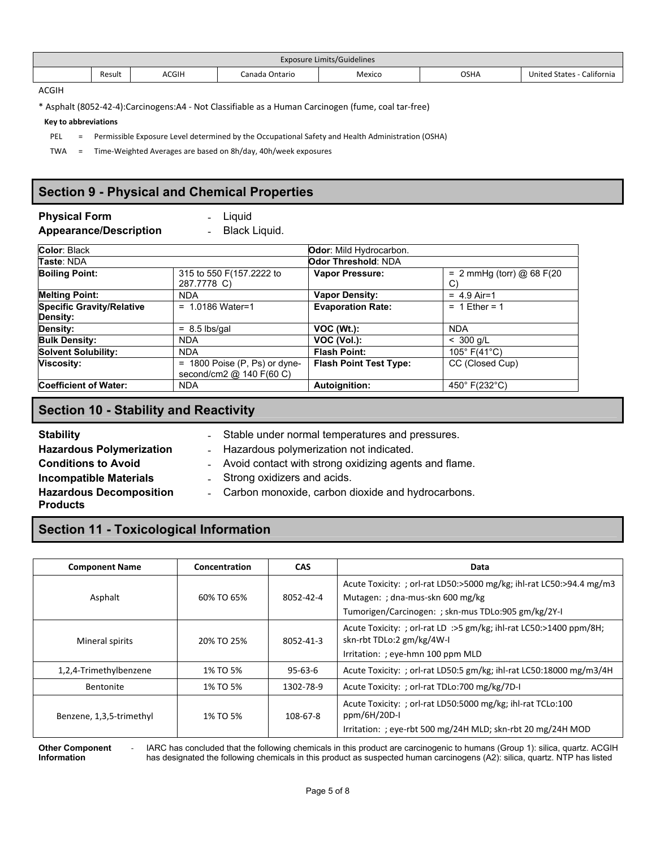| <b>Exposure Limits/Guidelines</b> |        |              |                |        |             |                             |
|-----------------------------------|--------|--------------|----------------|--------|-------------|-----------------------------|
|                                   | Result | <b>ACGIH</b> | Canada Ontario | Mexico | <b>OSHA</b> | California<br>United States |

ACGIH

\* Asphalt (8052‐42‐4):Carcinogens:A4 ‐ Not Classifiable as a Human Carcinogen (fume, coal tar‐free)

#### **Key to abbreviations**

PEL = Permissible Exposure Level determined by the Occupational Safety and Health Administration (OSHA)

TWA = Time‐Weighted Averages are based on 8h/day, 40h/week exposures

### **Section 9 - Physical and Chemical Properties**

### **Physical Form Figure 1 Liquid**

**Appearance/Description** ‐ Black Liquid.

| Color: Black                     |                                                             | Odor: Mild Hydrocarbon.       |                                   |
|----------------------------------|-------------------------------------------------------------|-------------------------------|-----------------------------------|
| Taste: NDA                       |                                                             | Odor Threshold: NDA           |                                   |
| <b>Boiling Point:</b>            | 315 to 550 F(157.2222 to<br>287.7778 C)                     | <b>Vapor Pressure:</b>        | = $2$ mmHg (torr) @ 68 F(20<br>C) |
| <b>Melting Point:</b>            | <b>NDA</b>                                                  | <b>Vapor Density:</b>         | $= 4.9$ Air=1                     |
| <b>Specific Gravity/Relative</b> | $= 1.0186$ Water=1                                          | <b>Evaporation Rate:</b>      | $= 1$ Ether = 1                   |
| Density:                         |                                                             |                               |                                   |
| Density:                         | $= 8.5$ lbs/gal                                             | $VOC (Wt.)$ :                 | <b>NDA</b>                        |
| <b>Bulk Density:</b>             | <b>NDA</b>                                                  | VOC (Vol.):                   | $< 300$ g/L                       |
| <b>Solvent Solubility:</b>       | <b>NDA</b>                                                  | <b>Flash Point:</b>           | 105 $^{\circ}$ F(41 $^{\circ}$ C) |
| <b>Viscosity:</b>                | $= 1800$ Poise (P, Ps) or dyne-<br>second/cm2 @ 140 F(60 C) | <b>Flash Point Test Type:</b> | CC (Closed Cup)                   |
| <b>Coefficient of Water:</b>     | <b>NDA</b>                                                  | Autoignition:                 | 450° F(232°C)                     |

### **Section 10 - Stability and Reactivity**

**Stability Stability EXECUTE:** Stable under normal temperatures and pressures.<br> **Hazardous Polymerization EXECUTE:** Hazardous polymerization not indicated.

### **Conditions to Avoid Example 20 .** Avoid contact with strong oxidizing agents and flame. **Incompatible Materials Example 2. Strong oxidizers and acids. Hazardous Decomposition Products**

- 
- ‐ Carbon monoxide, carbon dioxide and hydrocarbons.

- Hazardous polymerization not indicated.

### **Section 11 - Toxicological Information**

| <b>Component Name</b>    | Concentration | <b>CAS</b>    | Data                                                                                                                                                            |
|--------------------------|---------------|---------------|-----------------------------------------------------------------------------------------------------------------------------------------------------------------|
| Asphalt                  | 60% TO 65%    | 8052-42-4     | Acute Toxicity: ; orl-rat LD50:>5000 mg/kg; ihl-rat LC50:>94.4 mg/m3<br>Mutagen: ; dna-mus-skn 600 mg/kg<br>Tumorigen/Carcinogen: ; skn-mus TDLo:905 gm/kg/2Y-I |
| Mineral spirits          | 20% TO 25%    | 8052-41-3     | Acute Toxicity: ; orl-rat LD :>5 gm/kg; ihl-rat LC50:>1400 ppm/8H;<br>skn-rbt TDLo:2 gm/kg/4W-I<br>Irritation: ; eye-hmn 100 ppm MLD                            |
| 1,2,4-Trimethylbenzene   | 1% TO 5%      | $95 - 63 - 6$ | Acute Toxicity: ; orl-rat LD50:5 gm/kg; ihl-rat LC50:18000 mg/m3/4H                                                                                             |
| <b>Bentonite</b>         | 1% TO 5%      | 1302-78-9     | Acute Toxicity: ; orl-rat TDLo:700 mg/kg/7D-I                                                                                                                   |
| Benzene, 1,3,5-trimethyl | 1% TO 5%      | 108-67-8      | Acute Toxicity: ; orl-rat LD50:5000 mg/kg; ihl-rat TCLo:100<br>ppm/6H/20D-I<br>Irritation: ; eye-rbt 500 mg/24H MLD; skn-rbt 20 mg/24H MOD                      |

**Other Component Information**

IARC has concluded that the following chemicals in this product are carcinogenic to humans (Group 1): silica, quartz. ACGIH has designated the following chemicals in this product as suspected human carcinogens (A2): silica, quartz. NTP has listed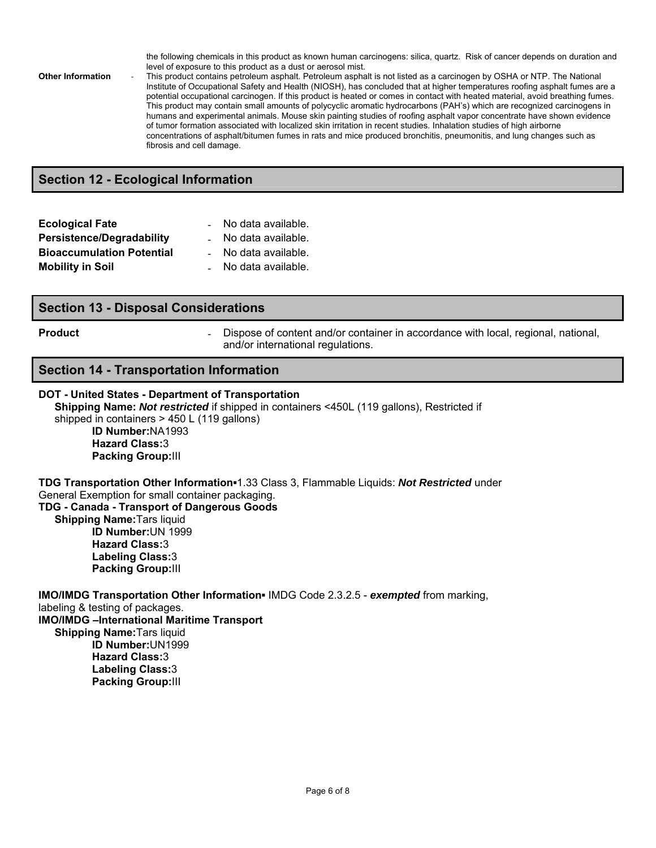the following chemicals in this product as known human carcinogens: silica, quartz. Risk of cancer depends on duration and level of exposure to this product as a dust or aerosol mist.

**Other Information** ‐ This product contains petroleum asphalt. Petroleum asphalt is not listed as a carcinogen by OSHA or NTP. The National Institute of Occupational Safety and Health (NIOSH), has concluded that at higher temperatures roofing asphalt fumes are a potential occupational carcinogen. If this product is heated or comes in contact with heated material, avoid breathing fumes. This product may contain small amounts of polycyclic aromatic hydrocarbons (PAH's) which are recognized carcinogens in humans and experimental animals. Mouse skin painting studies of roofing asphalt vapor concentrate have shown evidence of tumor formation associated with localized skin irritation in recent studies. Inhalation studies of high airborne concentrations of asphalt/bitumen fumes in rats and mice produced bronchitis, pneumonitis, and lung changes such as fibrosis and cell damage.

### **Section 12 - Ecological Information**

| <b>Ecological Fate</b>           | No data available. |
|----------------------------------|--------------------|
| <b>Persistence/Degradability</b> | No data available. |
| <b>Bioaccumulation Potential</b> | No data available. |
| <b>Mobility in Soil</b>          | No data available. |

### **Section 13 - Disposal Considerations**

**Product Example 20 Figure 1 Dispose of content and/or container in accordance with local, regional, national, in a straight and in the Dispose of content and/or container in accordance with local, regional, national** and/or international regulations.

### **Section 14 - Transportation Information**

### **DOT - United States - Department of Transportation**

**Shipping Name:** *Not restricted* if shipped in containers <450L (119 gallons), Restricted if shipped in containers > 450 L (119 gallons) **ID Number:**NA1993 **Hazard Class:**3

**Packing Group:**III

**TDG Transportation Other Information▪**1.33 Class 3, Flammable Liquids: *Not Restricted* under General Exemption for small container packaging. **TDG - Canada - Transport of Dangerous Goods**

**Shipping Name:**Tars liquid **ID Number:**UN 1999 **Hazard Class:**3 **Labeling Class:**3 **Packing Group:**III

**IMO/IMDG Transportation Other Information▪** IMDG Code 2.3.2.5 - *exempted* from marking, labeling & testing of packages. **IMO/IMDG –International Maritime Transport Shipping Name:**Tars liquid **ID Number:**UN1999 **Hazard Class:**3

**Labeling Class:**3 **Packing Group:**III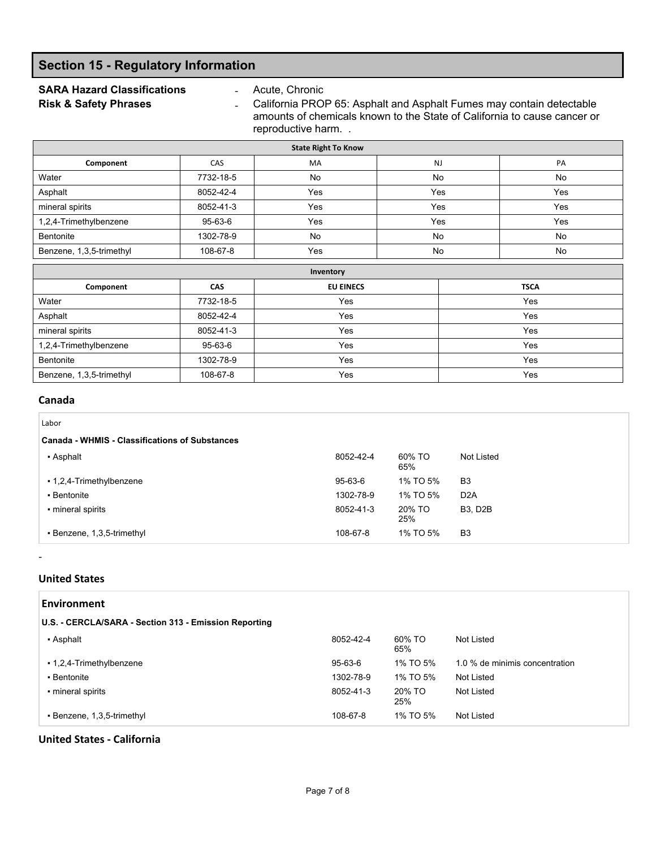### **Section 15 - Regulatory Information**

# **SARA Hazard Classifications** - Acute, Chronic<br> **Risk & Safety Phrases** - California PRO

- California PROP 65: Asphalt and Asphalt Fumes may contain detectable amounts of chemicals known to the State of California to cause cancer or reproductive harm. .

| <b>State Right To Know</b>               |           |                  |           |             |  |  |  |
|------------------------------------------|-----------|------------------|-----------|-------------|--|--|--|
| Component                                | CAS       | MA               | <b>NJ</b> | PA          |  |  |  |
| Water                                    | 7732-18-5 | No               | No        | No          |  |  |  |
| Asphalt                                  | 8052-42-4 | Yes              | Yes       | Yes         |  |  |  |
| mineral spirits                          | 8052-41-3 | Yes              | Yes       | Yes         |  |  |  |
| 1,2,4-Trimethylbenzene                   | 95-63-6   | Yes              | Yes       | Yes         |  |  |  |
| Bentonite                                | 1302-78-9 | No               | <b>No</b> | No          |  |  |  |
| Benzene, 1,3,5-trimethyl                 | 108-67-8  | Yes              | <b>No</b> | No          |  |  |  |
|                                          | Inventory |                  |           |             |  |  |  |
| Component                                | CAS       | <b>EU EINECS</b> |           | <b>TSCA</b> |  |  |  |
| 7732-18-5<br>Water<br>Yes                |           |                  | Yes       |             |  |  |  |
| Asphalt<br>8052-42-4<br>Yes              |           | Yes              |           |             |  |  |  |
| Yes<br>mineral spirits<br>8052-41-3      |           | Yes              |           |             |  |  |  |
| 1,2,4-Trimethylbenzene<br>95-63-6<br>Yes |           |                  | Yes       |             |  |  |  |
| Yes<br>1302-78-9<br>Bentonite            |           | Yes              |           |             |  |  |  |
| 108-67-8<br>Benzene, 1,3,5-trimethyl     |           | Yes              |           | Yes         |  |  |  |

### **Canada**

| Labor                                                 |           |               |                  |
|-------------------------------------------------------|-----------|---------------|------------------|
| <b>Canada - WHMIS - Classifications of Substances</b> |           |               |                  |
| • Asphalt                                             | 8052-42-4 | 60% TO<br>65% | Not Listed       |
| • 1,2,4-Trimethylbenzene                              | 95-63-6   | 1% TO 5%      | B <sub>3</sub>   |
| • Bentonite                                           | 1302-78-9 | 1% TO 5%      | D <sub>2</sub> A |
| • mineral spirits                                     | 8052-41-3 | 20% TO<br>25% | <b>B3, D2B</b>   |
| • Benzene, 1,3,5-trimethyl                            | 108-67-8  | 1% TO 5%      | B <sub>3</sub>   |

### **United States**

‐

| <b>Environment</b>                                    |           |               |                                |  |  |  |
|-------------------------------------------------------|-----------|---------------|--------------------------------|--|--|--|
| U.S. - CERCLA/SARA - Section 313 - Emission Reporting |           |               |                                |  |  |  |
| • Asphalt                                             | 8052-42-4 | 60% TO<br>65% | Not Listed                     |  |  |  |
| • 1,2,4-Trimethylbenzene                              | 95-63-6   | 1% TO 5%      | 1.0 % de minimis concentration |  |  |  |
| • Bentonite                                           | 1302-78-9 | 1% TO 5%      | Not Listed                     |  |  |  |
| • mineral spirits                                     | 8052-41-3 | 20% TO<br>25% | Not Listed                     |  |  |  |
| • Benzene, 1,3,5-trimethyl                            | 108-67-8  | 1% TO 5%      | Not Listed                     |  |  |  |

**United States ‐ California**